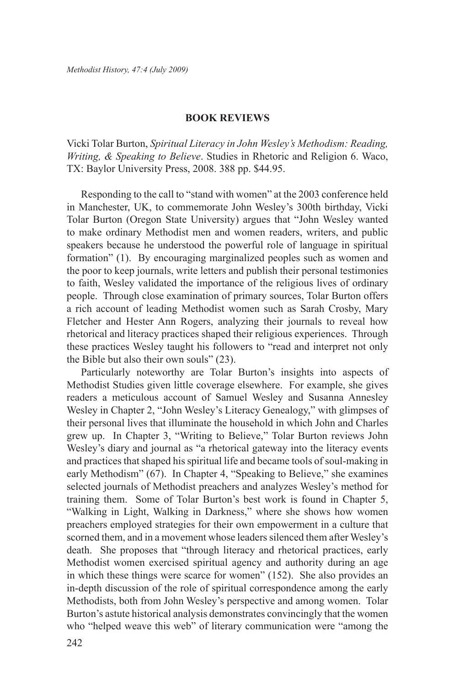## **Book Reviews**

Vicki Tolar Burton, *Spiritual Literacy in John Wesley's Methodism: Reading, Writing, & Speaking to Believe*. Studies in Rhetoric and Religion 6. Waco, TX: Baylor University Press, 2008. 388 pp. \$44.95.

Responding to the call to "stand with women" at the 2003 conference held in Manchester, UK, to commemorate John Wesley's 300th birthday, Vicki Tolar Burton (Oregon State University) argues that "John Wesley wanted to make ordinary Methodist men and women readers, writers, and public speakers because he understood the powerful role of language in spiritual formation" (1). By encouraging marginalized peoples such as women and the poor to keep journals, write letters and publish their personal testimonies to faith, Wesley validated the importance of the religious lives of ordinary people. Through close examination of primary sources, Tolar Burton offers a rich account of leading Methodist women such as Sarah Crosby, Mary Fletcher and Hester Ann Rogers, analyzing their journals to reveal how rhetorical and literacy practices shaped their religious experiences. Through these practices Wesley taught his followers to "read and interpret not only the Bible but also their own souls" (23).

Particularly noteworthy are Tolar Burton's insights into aspects of Methodist Studies given little coverage elsewhere. For example, she gives readers a meticulous account of Samuel Wesley and Susanna Annesley Wesley in Chapter 2, "John Wesley's Literacy Genealogy," with glimpses of their personal lives that illuminate the household in which John and Charles grew up. In Chapter 3, "Writing to Believe," Tolar Burton reviews John Wesley's diary and journal as "a rhetorical gateway into the literacy events and practices that shaped his spiritual life and became tools of soul-making in early Methodism" (67). In Chapter 4, "Speaking to Believe," she examines selected journals of Methodist preachers and analyzes Wesley's method for training them. Some of Tolar Burton's best work is found in Chapter 5, "Walking in Light, Walking in Darkness," where she shows how women preachers employed strategies for their own empowerment in a culture that scorned them, and in a movement whose leaders silenced them after Wesley's death. She proposes that "through literacy and rhetorical practices, early Methodist women exercised spiritual agency and authority during an age in which these things were scarce for women" (152). She also provides an in-depth discussion of the role of spiritual correspondence among the early Methodists, both from John Wesley's perspective and among women. Tolar Burton's astute historical analysis demonstrates convincingly that the women who "helped weave this web" of literary communication were "among the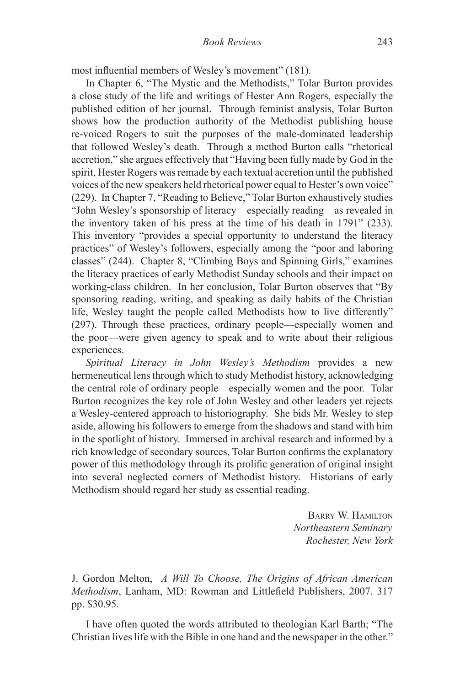most influential members of Wesley's movement" (181).

In Chapter 6, "The Mystic and the Methodists," Tolar Burton provides a close study of the life and writings of Hester Ann Rogers, especially the published edition of her journal. Through feminist analysis, Tolar Burton shows how the production authority of the Methodist publishing house re-voiced Rogers to suit the purposes of the male-dominated leadership that followed Wesley's death. Through a method Burton calls "rhetorical accretion," she argues effectively that "Having been fully made by God in the spirit, Hester Rogers was remade by each textual accretion until the published voices of the new speakers held rhetorical power equal to Hester's own voice" (229). In Chapter 7, "Reading to Believe," Tolar Burton exhaustively studies "John Wesley's sponsorship of literacy—especially reading—as revealed in the inventory taken of his press at the time of his death in 1791" (233). This inventory "provides a special opportunity to understand the literacy practices" of Wesley's followers, especially among the "poor and laboring classes" (244). Chapter 8, "Climbing Boys and Spinning Girls," examines the literacy practices of early Methodist Sunday schools and their impact on working-class children. In her conclusion, Tolar Burton observes that "By sponsoring reading, writing, and speaking as daily habits of the Christian life, Wesley taught the people called Methodists how to live differently" (297). Through these practices, ordinary people—especially women and the poor—were given agency to speak and to write about their religious experiences.

*Spiritual Literacy in John Wesley's Methodism* provides a new hermeneutical lens through which to study Methodist history, acknowledging the central role of ordinary people—especially women and the poor. Tolar Burton recognizes the key role of John Wesley and other leaders yet rejects a Wesley-centered approach to historiography. She bids Mr. Wesley to step aside, allowing his followers to emerge from the shadows and stand with him in the spotlight of history. Immersed in archival research and informed by a rich knowledge of secondary sources, Tolar Burton confirms the explanatory power of this methodology through its prolific generation of original insight into several neglected corners of Methodist history. Historians of early Methodism should regard her study as essential reading.

> Barry W. Hamilton *Northeastern Seminary Rochester, New York*

J. Gordon Melton, *A Will To Choose, The Origins of African American Methodism*, Lanham, MD: Rowman and Littlefield Publishers, 2007. 317 pp. \$30.95.

I have often quoted the words attributed to theologian Karl Barth; "The Christian lives life with the Bible in one hand and the newspaper in the other."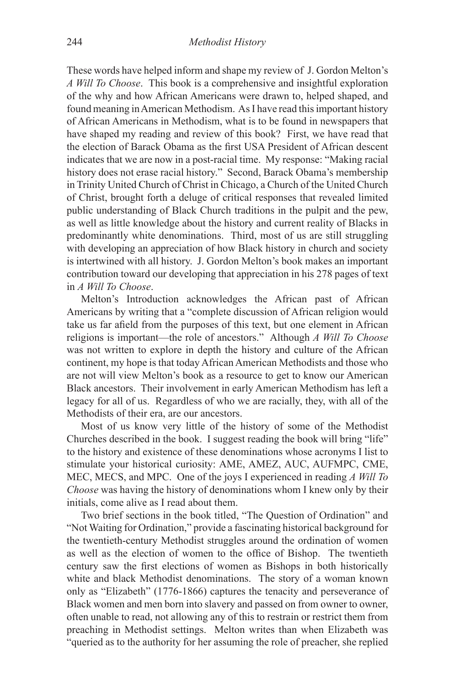These words have helped inform and shape my review of J. Gordon Melton's *A Will To Choose*. This book is a comprehensive and insightful exploration of the why and how African Americans were drawn to, helped shaped, and found meaning in American Methodism. As I have read this important history of African Americans in Methodism, what is to be found in newspapers that have shaped my reading and review of this book? First, we have read that the election of Barack Obama as the first USA President of African descent indicates that we are now in a post-racial time. My response: "Making racial history does not erase racial history." Second, Barack Obama's membership in Trinity United Church of Christ in Chicago, a Church of the United Church of Christ, brought forth a deluge of critical responses that revealed limited public understanding of Black Church traditions in the pulpit and the pew, as well as little knowledge about the history and current reality of Blacks in predominantly white denominations. Third, most of us are still struggling with developing an appreciation of how Black history in church and society is intertwined with all history. J. Gordon Melton's book makes an important contribution toward our developing that appreciation in his 278 pages of text in *A Will To Choose*.

Melton's Introduction acknowledges the African past of African Americans by writing that a "complete discussion of African religion would take us far afield from the purposes of this text, but one element in African religions is important—the role of ancestors." Although *A Will To Choose*  was not written to explore in depth the history and culture of the African continent, my hope is that today African American Methodists and those who are not will view Melton's book as a resource to get to know our American Black ancestors. Their involvement in early American Methodism has left a legacy for all of us. Regardless of who we are racially, they, with all of the Methodists of their era, are our ancestors.

Most of us know very little of the history of some of the Methodist Churches described in the book. I suggest reading the book will bring "life" to the history and existence of these denominations whose acronyms I list to stimulate your historical curiosity: AME, AMEZ, AUC, AUFMPC, CME, MEC, MECS, and MPC. One of the joys I experienced in reading *A Will To Choose* was having the history of denominations whom I knew only by their initials, come alive as I read about them.

Two brief sections in the book titled, "The Question of Ordination" and "Not Waiting for Ordination," provide a fascinating historical background for the twentieth-century Methodist struggles around the ordination of women as well as the election of women to the office of Bishop. The twentieth century saw the first elections of women as Bishops in both historically white and black Methodist denominations. The story of a woman known only as "Elizabeth" (1776-1866) captures the tenacity and perseverance of Black women and men born into slavery and passed on from owner to owner, often unable to read, not allowing any of this to restrain or restrict them from preaching in Methodist settings. Melton writes than when Elizabeth was "queried as to the authority for her assuming the role of preacher, she replied